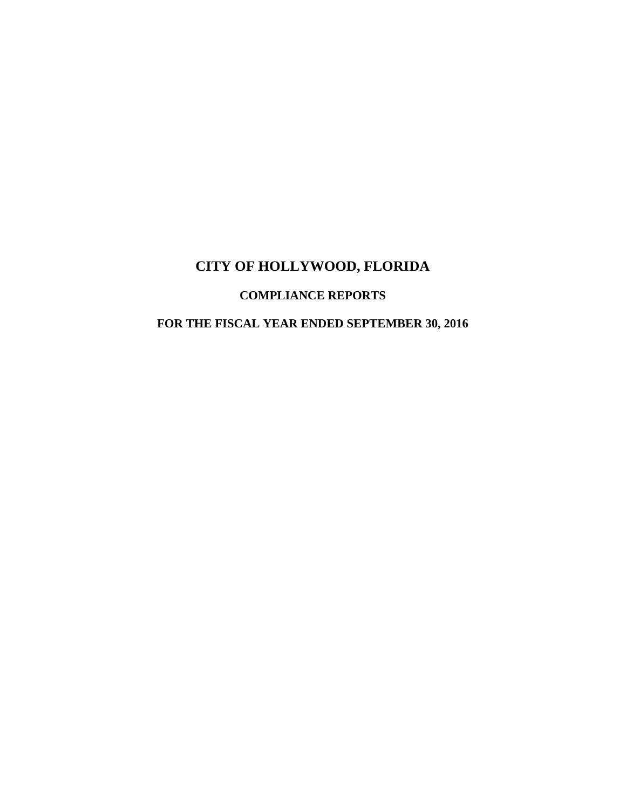## **COMPLIANCE REPORTS**

## **FOR THE FISCAL YEAR ENDED SEPTEMBER 30, 2016**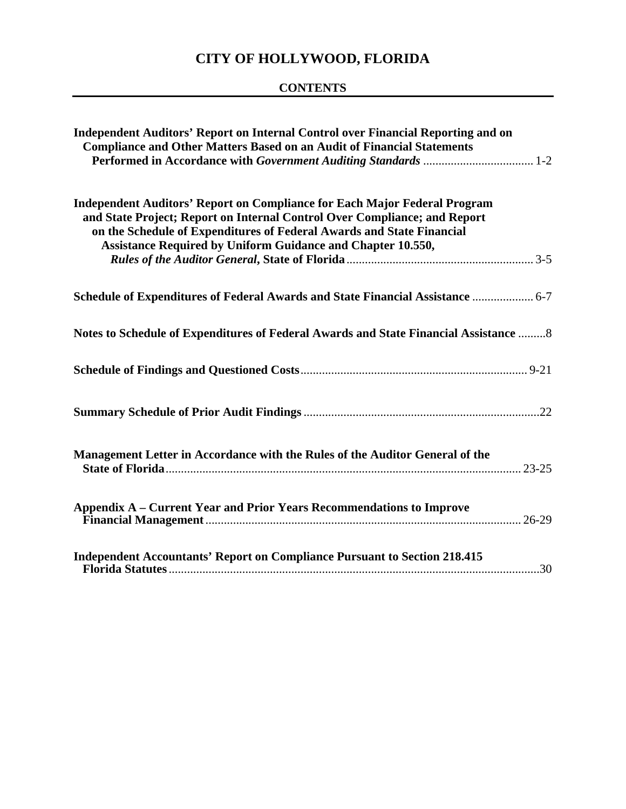# **CONTENTS**

| Independent Auditors' Report on Internal Control over Financial Reporting and on<br><b>Compliance and Other Matters Based on an Audit of Financial Statements</b>                                                                                                                                     |
|-------------------------------------------------------------------------------------------------------------------------------------------------------------------------------------------------------------------------------------------------------------------------------------------------------|
|                                                                                                                                                                                                                                                                                                       |
| <b>Independent Auditors' Report on Compliance for Each Major Federal Program</b><br>and State Project; Report on Internal Control Over Compliance; and Report<br>on the Schedule of Expenditures of Federal Awards and State Financial<br>Assistance Required by Uniform Guidance and Chapter 10.550, |
| Schedule of Expenditures of Federal Awards and State Financial Assistance  6-7                                                                                                                                                                                                                        |
| Notes to Schedule of Expenditures of Federal Awards and State Financial Assistance  8                                                                                                                                                                                                                 |
|                                                                                                                                                                                                                                                                                                       |
|                                                                                                                                                                                                                                                                                                       |
| Management Letter in Accordance with the Rules of the Auditor General of the                                                                                                                                                                                                                          |
| Appendix A – Current Year and Prior Years Recommendations to Improve                                                                                                                                                                                                                                  |
| <b>Independent Accountants' Report on Compliance Pursuant to Section 218.415</b>                                                                                                                                                                                                                      |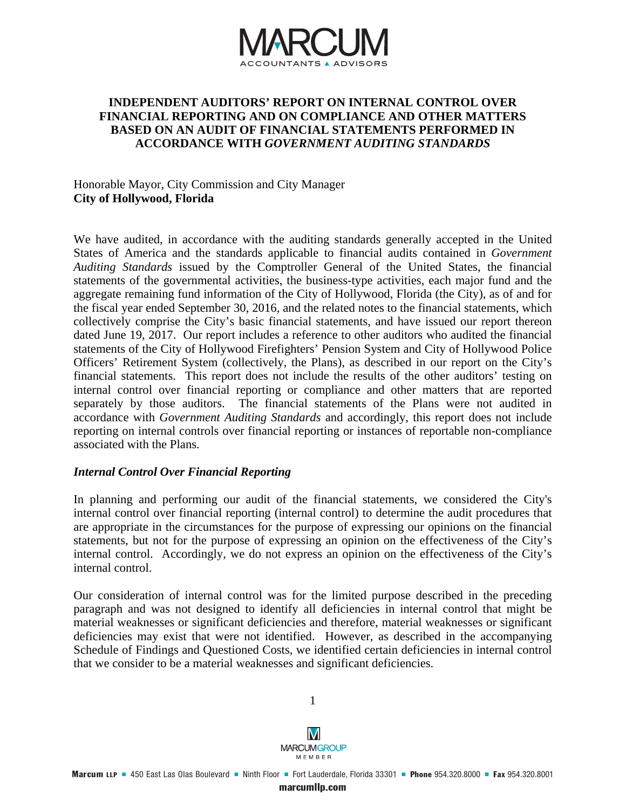

### **INDEPENDENT AUDITORS' REPORT ON INTERNAL CONTROL OVER FINANCIAL REPORTING AND ON COMPLIANCE AND OTHER MATTERS BASED ON AN AUDIT OF FINANCIAL STATEMENTS PERFORMED IN ACCORDANCE WITH** *GOVERNMENT AUDITING STANDARDS*

### Honorable Mayor, City Commission and City Manager **City of Hollywood, Florida**

We have audited, in accordance with the auditing standards generally accepted in the United States of America and the standards applicable to financial audits contained in *Government Auditing Standards* issued by the Comptroller General of the United States, the financial statements of the governmental activities, the business-type activities, each major fund and the aggregate remaining fund information of the City of Hollywood, Florida (the City), as of and for the fiscal year ended September 30, 2016, and the related notes to the financial statements, which collectively comprise the City's basic financial statements, and have issued our report thereon dated June 19, 2017. Our report includes a reference to other auditors who audited the financial statements of the City of Hollywood Firefighters' Pension System and City of Hollywood Police Officers' Retirement System (collectively, the Plans), as described in our report on the City's financial statements. This report does not include the results of the other auditors' testing on internal control over financial reporting or compliance and other matters that are reported separately by those auditors. The financial statements of the Plans were not audited in accordance with *Government Auditing Standards* and accordingly, this report does not include reporting on internal controls over financial reporting or instances of reportable non-compliance associated with the Plans.

### *Internal Control Over Financial Reporting*

In planning and performing our audit of the financial statements, we considered the City's internal control over financial reporting (internal control) to determine the audit procedures that are appropriate in the circumstances for the purpose of expressing our opinions on the financial statements, but not for the purpose of expressing an opinion on the effectiveness of the City's internal control. Accordingly, we do not express an opinion on the effectiveness of the City's internal control.

Our consideration of internal control was for the limited purpose described in the preceding paragraph and was not designed to identify all deficiencies in internal control that might be material weaknesses or significant deficiencies and therefore, material weaknesses or significant deficiencies may exist that were not identified. However, as described in the accompanying Schedule of Findings and Questioned Costs, we identified certain deficiencies in internal control that we consider to be a material weaknesses and significant deficiencies.



1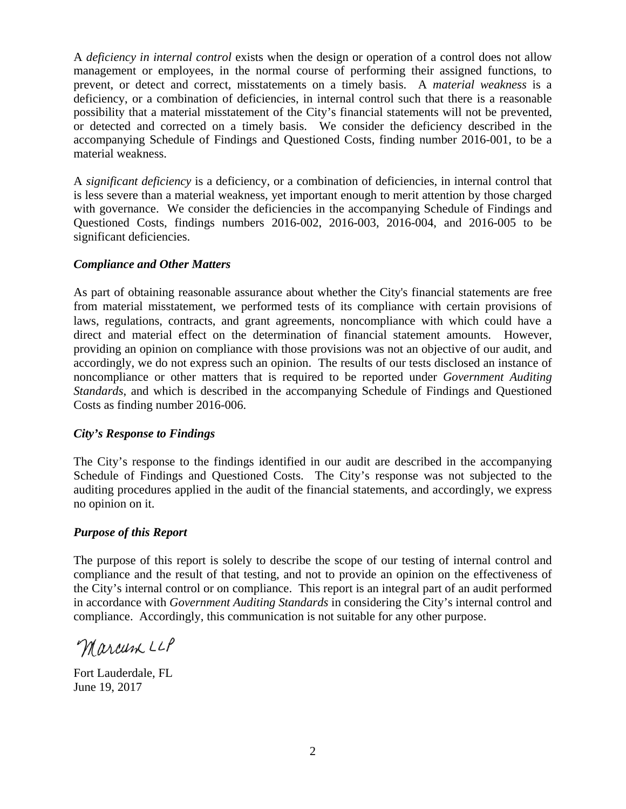A *deficiency in internal control* exists when the design or operation of a control does not allow management or employees, in the normal course of performing their assigned functions, to prevent, or detect and correct, misstatements on a timely basis. A *material weakness* is a deficiency, or a combination of deficiencies, in internal control such that there is a reasonable possibility that a material misstatement of the City's financial statements will not be prevented, or detected and corrected on a timely basis. We consider the deficiency described in the accompanying Schedule of Findings and Questioned Costs, finding number 2016-001, to be a material weakness.

A *significant deficiency* is a deficiency, or a combination of deficiencies, in internal control that is less severe than a material weakness, yet important enough to merit attention by those charged with governance. We consider the deficiencies in the accompanying Schedule of Findings and Questioned Costs, findings numbers 2016-002, 2016-003, 2016-004, and 2016-005 to be significant deficiencies.

### *Compliance and Other Matters*

As part of obtaining reasonable assurance about whether the City's financial statements are free from material misstatement, we performed tests of its compliance with certain provisions of laws, regulations, contracts, and grant agreements, noncompliance with which could have a direct and material effect on the determination of financial statement amounts. However, providing an opinion on compliance with those provisions was not an objective of our audit, and accordingly, we do not express such an opinion. The results of our tests disclosed an instance of noncompliance or other matters that is required to be reported under *Government Auditing Standards*, and which is described in the accompanying Schedule of Findings and Questioned Costs as finding number 2016-006.

#### *City's Response to Findings*

The City's response to the findings identified in our audit are described in the accompanying Schedule of Findings and Questioned Costs. The City's response was not subjected to the auditing procedures applied in the audit of the financial statements, and accordingly, we express no opinion on it.

### *Purpose of this Report*

The purpose of this report is solely to describe the scope of our testing of internal control and compliance and the result of that testing, and not to provide an opinion on the effectiveness of the City's internal control or on compliance. This report is an integral part of an audit performed in accordance with *Government Auditing Standards* in considering the City's internal control and compliance. Accordingly, this communication is not suitable for any other purpose.

Marcum LLP

Fort Lauderdale, FL June 19, 2017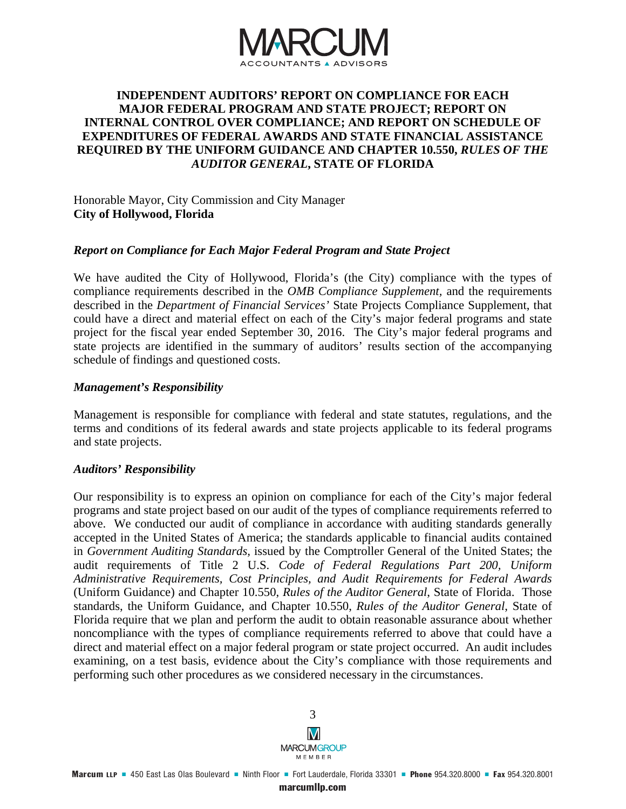

### **INDEPENDENT AUDITORS' REPORT ON COMPLIANCE FOR EACH MAJOR FEDERAL PROGRAM AND STATE PROJECT; REPORT ON INTERNAL CONTROL OVER COMPLIANCE; AND REPORT ON SCHEDULE OF EXPENDITURES OF FEDERAL AWARDS AND STATE FINANCIAL ASSISTANCE REQUIRED BY THE UNIFORM GUIDANCE AND CHAPTER 10.550,** *RULES OF THE AUDITOR GENERAL***, STATE OF FLORIDA**

Honorable Mayor, City Commission and City Manager **City of Hollywood, Florida** 

### *Report on Compliance for Each Major Federal Program and State Project*

We have audited the City of Hollywood, Florida's (the City) compliance with the types of compliance requirements described in the *OMB Compliance Supplement,* and the requirements described in the *Department of Financial Services'* State Projects Compliance Supplement, that could have a direct and material effect on each of the City's major federal programs and state project for the fiscal year ended September 30, 2016. The City's major federal programs and state projects are identified in the summary of auditors' results section of the accompanying schedule of findings and questioned costs.

#### *Management's Responsibility*

Management is responsible for compliance with federal and state statutes, regulations, and the terms and conditions of its federal awards and state projects applicable to its federal programs and state projects.

### *Auditors' Responsibility*

Our responsibility is to express an opinion on compliance for each of the City's major federal programs and state project based on our audit of the types of compliance requirements referred to above. We conducted our audit of compliance in accordance with auditing standards generally accepted in the United States of America; the standards applicable to financial audits contained in *Government Auditing Standards,* issued by the Comptroller General of the United States; the audit requirements of Title 2 U.S. *Code of Federal Regulations Part 200, Uniform Administrative Requirements, Cost Principles, and Audit Requirements for Federal Awards*  (Uniform Guidance) and Chapter 10.550, *Rules of the Auditor General*, State of Florida. Those standards, the Uniform Guidance, and Chapter 10.550, *Rules of the Auditor General*, State of Florida require that we plan and perform the audit to obtain reasonable assurance about whether noncompliance with the types of compliance requirements referred to above that could have a direct and material effect on a major federal program or state project occurred. An audit includes examining, on a test basis, evidence about the City's compliance with those requirements and performing such other procedures as we considered necessary in the circumstances.

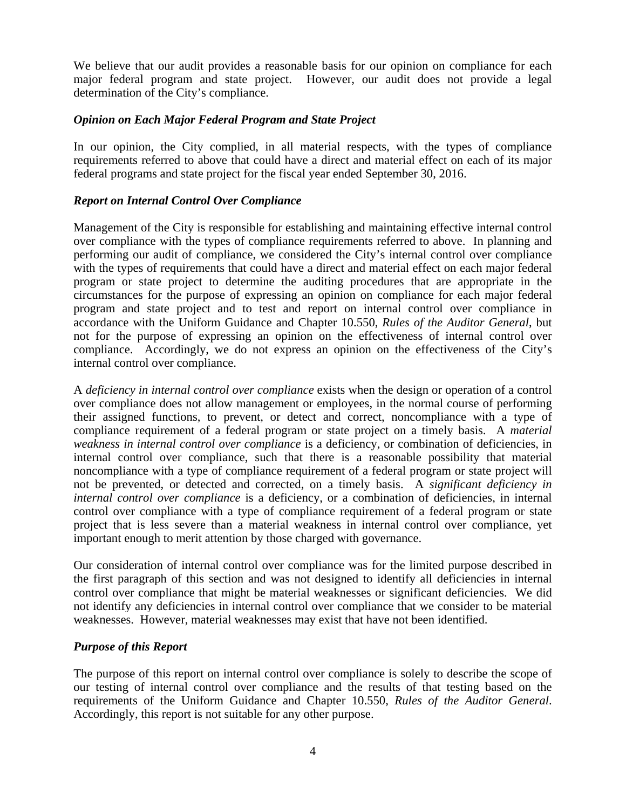We believe that our audit provides a reasonable basis for our opinion on compliance for each major federal program and state project. However, our audit does not provide a legal determination of the City's compliance.

### *Opinion on Each Major Federal Program and State Project*

In our opinion, the City complied, in all material respects, with the types of compliance requirements referred to above that could have a direct and material effect on each of its major federal programs and state project for the fiscal year ended September 30, 2016.

### *Report on Internal Control Over Compliance*

Management of the City is responsible for establishing and maintaining effective internal control over compliance with the types of compliance requirements referred to above. In planning and performing our audit of compliance, we considered the City's internal control over compliance with the types of requirements that could have a direct and material effect on each major federal program or state project to determine the auditing procedures that are appropriate in the circumstances for the purpose of expressing an opinion on compliance for each major federal program and state project and to test and report on internal control over compliance in accordance with the Uniform Guidance and Chapter 10.550, *Rules of the Auditor General*, but not for the purpose of expressing an opinion on the effectiveness of internal control over compliance. Accordingly, we do not express an opinion on the effectiveness of the City's internal control over compliance.

A *deficiency in internal control over compliance* exists when the design or operation of a control over compliance does not allow management or employees, in the normal course of performing their assigned functions, to prevent, or detect and correct, noncompliance with a type of compliance requirement of a federal program or state project on a timely basis. A *material weakness in internal control over compliance* is a deficiency, or combination of deficiencies, in internal control over compliance, such that there is a reasonable possibility that material noncompliance with a type of compliance requirement of a federal program or state project will not be prevented, or detected and corrected, on a timely basis. A *significant deficiency in internal control over compliance* is a deficiency, or a combination of deficiencies, in internal control over compliance with a type of compliance requirement of a federal program or state project that is less severe than a material weakness in internal control over compliance, yet important enough to merit attention by those charged with governance.

Our consideration of internal control over compliance was for the limited purpose described in the first paragraph of this section and was not designed to identify all deficiencies in internal control over compliance that might be material weaknesses or significant deficiencies. We did not identify any deficiencies in internal control over compliance that we consider to be material weaknesses. However, material weaknesses may exist that have not been identified.

### *Purpose of this Report*

The purpose of this report on internal control over compliance is solely to describe the scope of our testing of internal control over compliance and the results of that testing based on the requirements of the Uniform Guidance and Chapter 10.550, *Rules of the Auditor General*. Accordingly, this report is not suitable for any other purpose.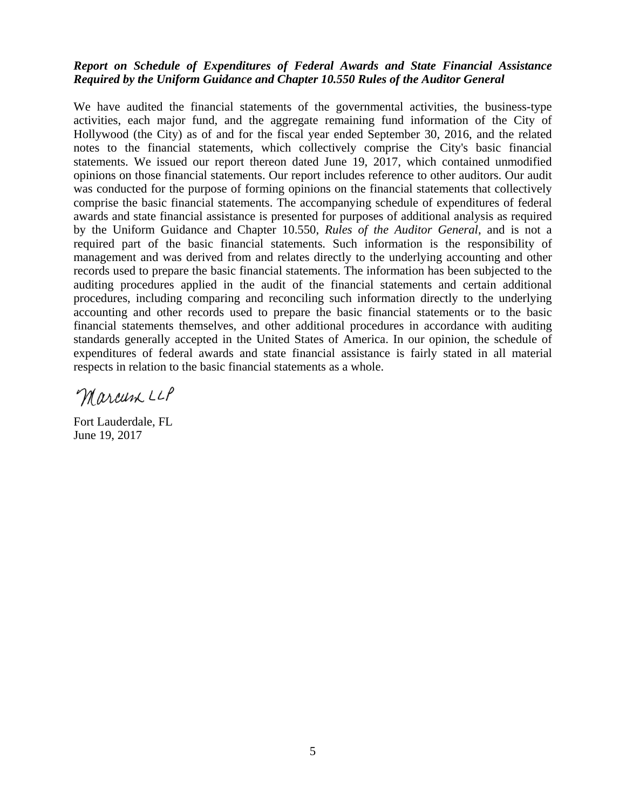### *Report on Schedule of Expenditures of Federal Awards and State Financial Assistance Required by the Uniform Guidance and Chapter 10.550 Rules of the Auditor General*

We have audited the financial statements of the governmental activities, the business-type activities, each major fund, and the aggregate remaining fund information of the City of Hollywood (the City) as of and for the fiscal year ended September 30, 2016, and the related notes to the financial statements, which collectively comprise the City's basic financial statements. We issued our report thereon dated June 19, 2017, which contained unmodified opinions on those financial statements. Our report includes reference to other auditors. Our audit was conducted for the purpose of forming opinions on the financial statements that collectively comprise the basic financial statements. The accompanying schedule of expenditures of federal awards and state financial assistance is presented for purposes of additional analysis as required by the Uniform Guidance and Chapter 10.550, *Rules of the Auditor General*, and is not a required part of the basic financial statements. Such information is the responsibility of management and was derived from and relates directly to the underlying accounting and other records used to prepare the basic financial statements. The information has been subjected to the auditing procedures applied in the audit of the financial statements and certain additional procedures, including comparing and reconciling such information directly to the underlying accounting and other records used to prepare the basic financial statements or to the basic financial statements themselves, and other additional procedures in accordance with auditing standards generally accepted in the United States of America. In our opinion, the schedule of expenditures of federal awards and state financial assistance is fairly stated in all material respects in relation to the basic financial statements as a whole.

Marcum LLP

Fort Lauderdale, FL June 19, 2017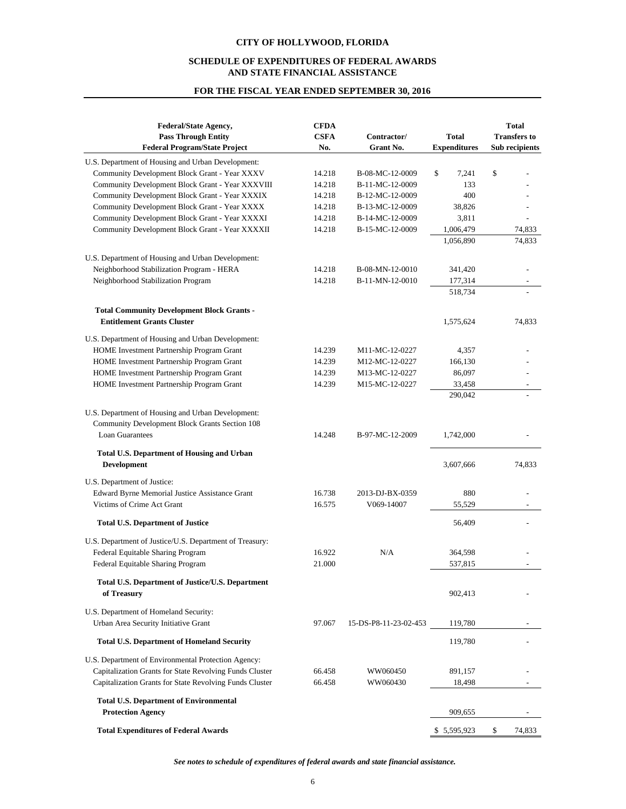#### **AND STATE FINANCIAL ASSISTANCE SCHEDULE OF EXPENDITURES OF FEDERAL AWARDS**

#### **FOR THE FISCAL YEAR ENDED SEPTEMBER 30, 2016**

| <b>Federal/State Agency,</b><br><b>Pass Through Entity</b><br><b>Federal Program/State Project</b>                 | <b>CFDA</b><br><b>CSFA</b><br>No. | Contractor/<br>Grant No. | <b>Total</b><br><b>Expenditures</b> | <b>Total</b><br><b>Transfers to</b><br>Sub recipients |
|--------------------------------------------------------------------------------------------------------------------|-----------------------------------|--------------------------|-------------------------------------|-------------------------------------------------------|
| U.S. Department of Housing and Urban Development:                                                                  |                                   |                          |                                     |                                                       |
| Community Development Block Grant - Year XXXV                                                                      | 14.218                            | B-08-MC-12-0009          | \$<br>7,241                         | \$                                                    |
| Community Development Block Grant - Year XXXVIII                                                                   | 14.218                            | B-11-MC-12-0009          | 133                                 |                                                       |
| Community Development Block Grant - Year XXXIX                                                                     | 14.218                            | B-12-MC-12-0009          | 400                                 |                                                       |
| Community Development Block Grant - Year XXXX                                                                      | 14.218                            | B-13-MC-12-0009          | 38,826                              |                                                       |
| Community Development Block Grant - Year XXXXI                                                                     | 14.218                            | B-14-MC-12-0009          | 3,811                               |                                                       |
| Community Development Block Grant - Year XXXXII                                                                    | 14.218                            | B-15-MC-12-0009          | 1,006,479                           | 74,833                                                |
|                                                                                                                    |                                   |                          | 1,056,890                           | 74,833                                                |
| U.S. Department of Housing and Urban Development:                                                                  |                                   |                          |                                     |                                                       |
| Neighborhood Stabilization Program - HERA                                                                          | 14.218                            | B-08-MN-12-0010          | 341,420                             |                                                       |
| Neighborhood Stabilization Program                                                                                 | 14.218                            | B-11-MN-12-0010          | 177,314                             |                                                       |
|                                                                                                                    |                                   |                          | 518,734                             |                                                       |
| <b>Total Community Development Block Grants -</b>                                                                  |                                   |                          |                                     |                                                       |
| <b>Entitlement Grants Cluster</b>                                                                                  |                                   |                          | 1,575,624                           | 74,833                                                |
| U.S. Department of Housing and Urban Development:                                                                  |                                   |                          |                                     |                                                       |
| HOME Investment Partnership Program Grant                                                                          | 14.239                            | M11-MC-12-0227           | 4,357                               |                                                       |
| HOME Investment Partnership Program Grant                                                                          | 14.239                            | M12-MC-12-0227           | 166,130                             |                                                       |
| HOME Investment Partnership Program Grant                                                                          | 14.239                            | M13-MC-12-0227           | 86,097                              |                                                       |
| HOME Investment Partnership Program Grant                                                                          | 14.239                            | M15-MC-12-0227           | 33,458                              |                                                       |
|                                                                                                                    |                                   |                          | 290,042                             |                                                       |
| U.S. Department of Housing and Urban Development:                                                                  |                                   |                          |                                     |                                                       |
| Community Development Block Grants Section 108                                                                     |                                   |                          |                                     |                                                       |
| <b>Loan Guarantees</b>                                                                                             | 14.248                            | B-97-MC-12-2009          | 1,742,000                           |                                                       |
| <b>Total U.S. Department of Housing and Urban</b><br>Development                                                   |                                   |                          | 3,607,666                           | 74,833                                                |
| U.S. Department of Justice:                                                                                        |                                   |                          |                                     |                                                       |
| Edward Byrne Memorial Justice Assistance Grant                                                                     | 16.738                            | 2013-DJ-BX-0359          | 880                                 |                                                       |
| Victims of Crime Act Grant                                                                                         | 16.575                            | V069-14007               | 55,529                              | $\overline{\phantom{a}}$                              |
| <b>Total U.S. Department of Justice</b>                                                                            |                                   |                          | 56,409                              |                                                       |
|                                                                                                                    |                                   |                          |                                     |                                                       |
| U.S. Department of Justice/U.S. Department of Treasury:                                                            |                                   |                          |                                     |                                                       |
| Federal Equitable Sharing Program<br>Federal Equitable Sharing Program                                             | 16.922<br>21.000                  | N/A                      | 364,598<br>537,815                  |                                                       |
|                                                                                                                    |                                   |                          |                                     |                                                       |
| Total U.S. Department of Justice/U.S. Department<br>of Treasury                                                    |                                   |                          | 902,413                             |                                                       |
| U.S. Department of Homeland Security:<br>Urban Area Security Initiative Grant                                      | 97.067                            | 15-DS-P8-11-23-02-453    | 119,780                             |                                                       |
| <b>Total U.S. Department of Homeland Security</b>                                                                  |                                   |                          | 119,780                             |                                                       |
|                                                                                                                    |                                   |                          |                                     |                                                       |
| U.S. Department of Environmental Protection Agency:                                                                | 66.458                            |                          |                                     |                                                       |
| Capitalization Grants for State Revolving Funds Cluster<br>Capitalization Grants for State Revolving Funds Cluster | 66.458                            | WW060450<br>WW060430     | 891,157<br>18,498                   |                                                       |
| <b>Total U.S. Department of Environmental</b>                                                                      |                                   |                          |                                     |                                                       |
| <b>Protection Agency</b>                                                                                           |                                   |                          | 909,655                             |                                                       |
| <b>Total Expenditures of Federal Awards</b>                                                                        |                                   |                          | \$ 5,595,923                        | \$<br>74,833                                          |

 *See notes to schedule of expenditures of federal awards and state financial assistance.*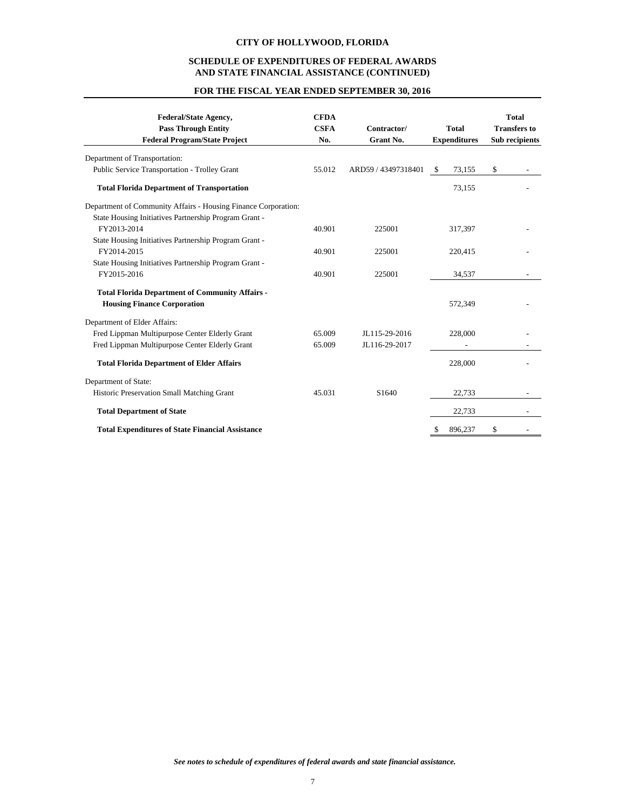#### **AND STATE FINANCIAL ASSISTANCE (CONTINUED) SCHEDULE OF EXPENDITURES OF FEDERAL AWARDS**

#### **FOR THE FISCAL YEAR ENDED SEPTEMBER 30, 2016**

| <b>Federal/State Agency,</b><br><b>Pass Through Entity</b><br><b>Federal Program/State Project</b> | <b>CFDA</b><br><b>CSFA</b><br>No. | Contractor/<br>Grant No. | <b>Total</b><br><b>Expenditures</b> |         | <b>Total</b><br><b>Transfers to</b><br>Sub recipients |  |
|----------------------------------------------------------------------------------------------------|-----------------------------------|--------------------------|-------------------------------------|---------|-------------------------------------------------------|--|
| Department of Transportation:                                                                      |                                   |                          |                                     |         |                                                       |  |
| Public Service Transportation - Trolley Grant                                                      | 55.012                            | ARD59 / 43497318401      | -S                                  | 73,155  | \$                                                    |  |
| <b>Total Florida Department of Transportation</b>                                                  |                                   |                          |                                     | 73,155  |                                                       |  |
| Department of Community Affairs - Housing Finance Corporation:                                     |                                   |                          |                                     |         |                                                       |  |
| State Housing Initiatives Partnership Program Grant -                                              |                                   |                          |                                     |         |                                                       |  |
| FY2013-2014                                                                                        | 40.901                            | 225001                   |                                     | 317,397 |                                                       |  |
| State Housing Initiatives Partnership Program Grant -                                              |                                   |                          |                                     |         |                                                       |  |
| FY2014-2015                                                                                        | 40.901                            | 225001                   |                                     | 220,415 |                                                       |  |
| State Housing Initiatives Partnership Program Grant -                                              |                                   |                          |                                     |         |                                                       |  |
| FY2015-2016                                                                                        | 40.901                            | 225001                   |                                     | 34,537  |                                                       |  |
| <b>Total Florida Department of Community Affairs -</b><br><b>Housing Finance Corporation</b>       |                                   |                          |                                     | 572,349 |                                                       |  |
| Department of Elder Affairs:                                                                       |                                   |                          |                                     |         |                                                       |  |
| Fred Lippman Multipurpose Center Elderly Grant                                                     | 65.009                            | JL115-29-2016            |                                     | 228,000 |                                                       |  |
| Fred Lippman Multipurpose Center Elderly Grant                                                     | 65.009                            | JL116-29-2017            |                                     |         |                                                       |  |
| <b>Total Florida Department of Elder Affairs</b>                                                   |                                   |                          |                                     | 228,000 |                                                       |  |
| Department of State:                                                                               |                                   |                          |                                     |         |                                                       |  |
| Historic Preservation Small Matching Grant                                                         | 45.031                            | S <sub>1640</sub>        |                                     | 22,733  |                                                       |  |
| <b>Total Department of State</b>                                                                   |                                   |                          |                                     | 22,733  |                                                       |  |
| <b>Total Expenditures of State Financial Assistance</b>                                            |                                   |                          | \$                                  | 896,237 | \$                                                    |  |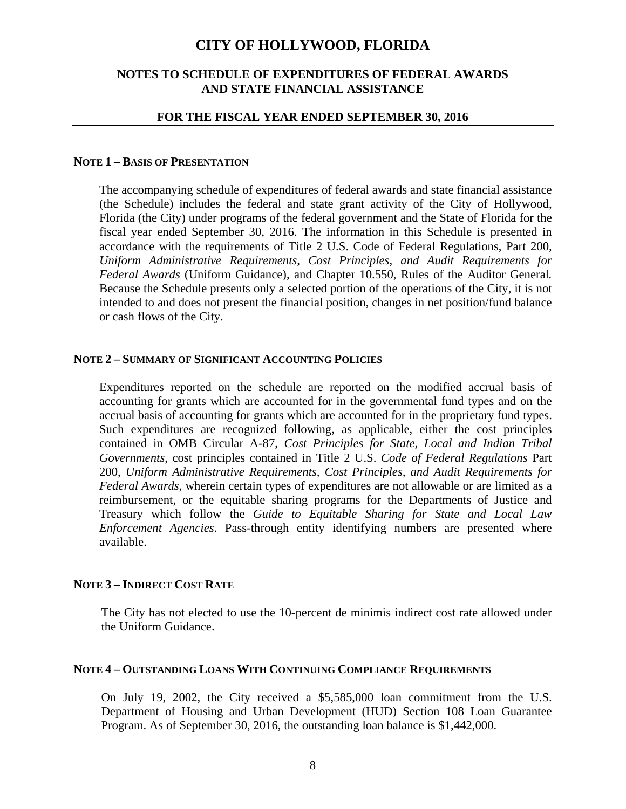### **NOTES TO SCHEDULE OF EXPENDITURES OF FEDERAL AWARDS AND STATE FINANCIAL ASSISTANCE**

#### **FOR THE FISCAL YEAR ENDED SEPTEMBER 30, 2016**

#### **NOTE 1 – BASIS OF PRESENTATION**

The accompanying schedule of expenditures of federal awards and state financial assistance (the Schedule) includes the federal and state grant activity of the City of Hollywood, Florida (the City) under programs of the federal government and the State of Florida for the fiscal year ended September 30, 2016. The information in this Schedule is presented in accordance with the requirements of Title 2 U.S. Code of Federal Regulations, Part 200*, Uniform Administrative Requirements, Cost Principles, and Audit Requirements for Federal Awards* (Uniform Guidance), and Chapter 10.550, Rules of the Auditor General*.* Because the Schedule presents only a selected portion of the operations of the City, it is not intended to and does not present the financial position, changes in net position/fund balance or cash flows of the City.

#### **NOTE 2 – SUMMARY OF SIGNIFICANT ACCOUNTING POLICIES**

Expenditures reported on the schedule are reported on the modified accrual basis of accounting for grants which are accounted for in the governmental fund types and on the accrual basis of accounting for grants which are accounted for in the proprietary fund types. Such expenditures are recognized following, as applicable, either the cost principles contained in OMB Circular A-87, *Cost Principles for State, Local and Indian Tribal Governments*, cost principles contained in Title 2 U.S. *Code of Federal Regulations* Part 200, *Uniform Administrative Requirements, Cost Principles, and Audit Requirements for Federal Awards*, wherein certain types of expenditures are not allowable or are limited as a reimbursement, or the equitable sharing programs for the Departments of Justice and Treasury which follow the *Guide to Equitable Sharing for State and Local Law Enforcement Agencies*. Pass-through entity identifying numbers are presented where available.

### **NOTE 3 – INDIRECT COST RATE**

The City has not elected to use the 10-percent de minimis indirect cost rate allowed under the Uniform Guidance.

### **NOTE 4 – OUTSTANDING LOANS WITH CONTINUING COMPLIANCE REQUIREMENTS**

On July 19, 2002, the City received a \$5,585,000 loan commitment from the U.S. Department of Housing and Urban Development (HUD) Section 108 Loan Guarantee Program. As of September 30, 2016, the outstanding loan balance is \$1,442,000.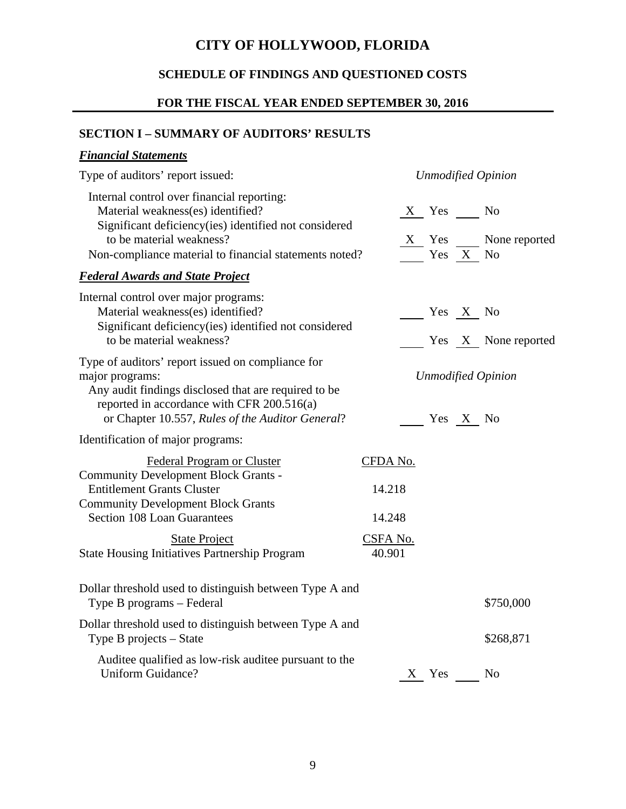### **SCHEDULE OF FINDINGS AND QUESTIONED COSTS**

### **FOR THE FISCAL YEAR ENDED SEPTEMBER 30, 2016**

## **SECTION I – SUMMARY OF AUDITORS' RESULTS**

### *Financial Statements*

| Type of auditors' report issued:                                                                                                                                                                                               |                              |              | <b>Unmodified Opinion</b>                     |
|--------------------------------------------------------------------------------------------------------------------------------------------------------------------------------------------------------------------------------|------------------------------|--------------|-----------------------------------------------|
| Internal control over financial reporting:<br>Material weakness(es) identified?<br>Significant deficiency(ies) identified not considered<br>to be material weakness?<br>Non-compliance material to financial statements noted? |                              | X Yes No     | $\frac{X}{Y}$ Yes $\frac{X}{X}$ None reported |
| <b>Federal Awards and State Project</b>                                                                                                                                                                                        |                              |              |                                               |
| Internal control over major programs:<br>Material weakness(es) identified?<br>Significant deficiency(ies) identified not considered<br>to be material weakness?                                                                |                              | $Yes \tX$ No | Yes X None reported                           |
| Type of auditors' report issued on compliance for<br>major programs:<br>Any audit findings disclosed that are required to be<br>reported in accordance with CFR 200.516(a)<br>or Chapter 10.557, Rules of the Auditor General? |                              | Yes X No     | <b>Unmodified Opinion</b>                     |
| Identification of major programs:                                                                                                                                                                                              |                              |              |                                               |
| <b>Federal Program or Cluster</b><br><b>Community Development Block Grants -</b><br><b>Entitlement Grants Cluster</b><br><b>Community Development Block Grants</b><br><b>Section 108 Loan Guarantees</b>                       | CFDA No.<br>14.218<br>14.248 |              |                                               |
| <b>State Project</b><br>State Housing Initiatives Partnership Program                                                                                                                                                          | CSFA No.<br>40.901           |              |                                               |
| Dollar threshold used to distinguish between Type A and<br>Type B programs - Federal                                                                                                                                           |                              |              | \$750,000                                     |
| Dollar threshold used to distinguish between Type A and<br>Type B projects – State                                                                                                                                             |                              |              | \$268,871                                     |
| Auditee qualified as low-risk auditee pursuant to the<br><b>Uniform Guidance?</b>                                                                                                                                              |                              | X Yes No     |                                               |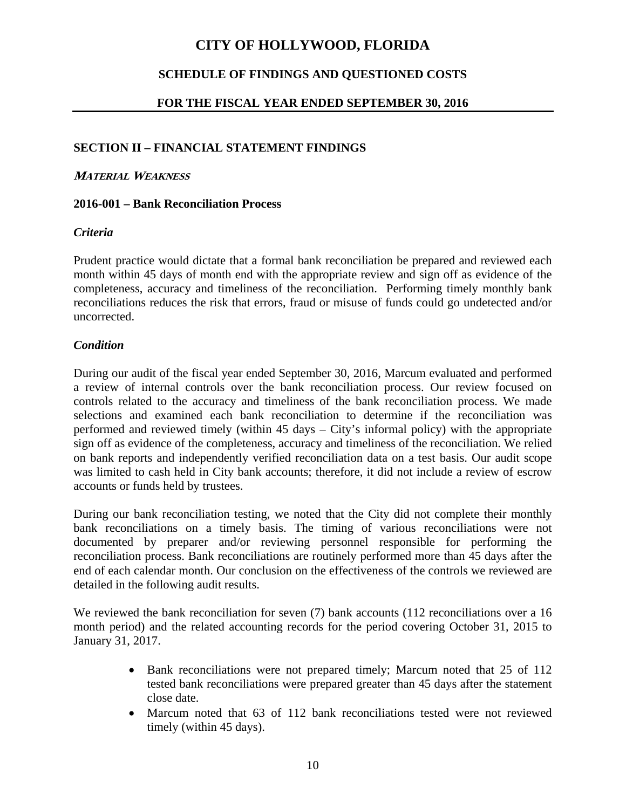### **SCHEDULE OF FINDINGS AND QUESTIONED COSTS**

### **FOR THE FISCAL YEAR ENDED SEPTEMBER 30, 2016**

#### **SECTION II – FINANCIAL STATEMENT FINDINGS**

#### **MATERIAL WEAKNESS**

#### **2016-001 – Bank Reconciliation Process**

### *Criteria*

Prudent practice would dictate that a formal bank reconciliation be prepared and reviewed each month within 45 days of month end with the appropriate review and sign off as evidence of the completeness, accuracy and timeliness of the reconciliation. Performing timely monthly bank reconciliations reduces the risk that errors, fraud or misuse of funds could go undetected and/or uncorrected.

#### *Condition*

During our audit of the fiscal year ended September 30, 2016, Marcum evaluated and performed a review of internal controls over the bank reconciliation process. Our review focused on controls related to the accuracy and timeliness of the bank reconciliation process. We made selections and examined each bank reconciliation to determine if the reconciliation was performed and reviewed timely (within 45 days – City's informal policy) with the appropriate sign off as evidence of the completeness, accuracy and timeliness of the reconciliation. We relied on bank reports and independently verified reconciliation data on a test basis. Our audit scope was limited to cash held in City bank accounts; therefore, it did not include a review of escrow accounts or funds held by trustees.

During our bank reconciliation testing, we noted that the City did not complete their monthly bank reconciliations on a timely basis. The timing of various reconciliations were not documented by preparer and/or reviewing personnel responsible for performing the reconciliation process. Bank reconciliations are routinely performed more than 45 days after the end of each calendar month. Our conclusion on the effectiveness of the controls we reviewed are detailed in the following audit results.

We reviewed the bank reconciliation for seven (7) bank accounts (112 reconciliations over a 16 month period) and the related accounting records for the period covering October 31, 2015 to January 31, 2017.

- Bank reconciliations were not prepared timely; Marcum noted that 25 of 112 tested bank reconciliations were prepared greater than 45 days after the statement close date.
- Marcum noted that 63 of 112 bank reconciliations tested were not reviewed timely (within 45 days).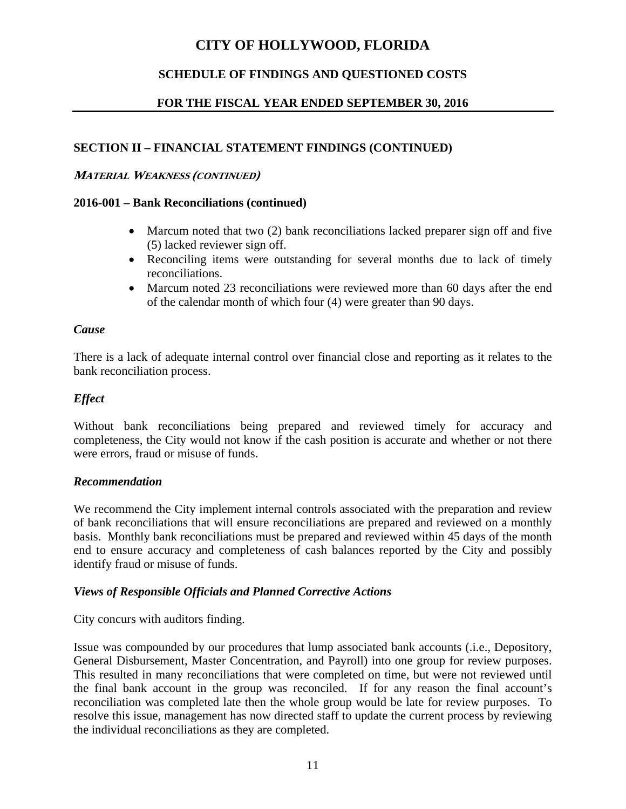### **SCHEDULE OF FINDINGS AND QUESTIONED COSTS**

### **FOR THE FISCAL YEAR ENDED SEPTEMBER 30, 2016**

### **SECTION II – FINANCIAL STATEMENT FINDINGS (CONTINUED)**

### **MATERIAL WEAKNESS (CONTINUED)**

#### **2016-001 – Bank Reconciliations (continued)**

- Marcum noted that two (2) bank reconciliations lacked preparer sign off and five (5) lacked reviewer sign off.
- Reconciling items were outstanding for several months due to lack of timely reconciliations.
- Marcum noted 23 reconciliations were reviewed more than 60 days after the end of the calendar month of which four (4) were greater than 90 days.

#### *Cause*

There is a lack of adequate internal control over financial close and reporting as it relates to the bank reconciliation process.

### *Effect*

Without bank reconciliations being prepared and reviewed timely for accuracy and completeness, the City would not know if the cash position is accurate and whether or not there were errors, fraud or misuse of funds.

#### *Recommendation*

We recommend the City implement internal controls associated with the preparation and review of bank reconciliations that will ensure reconciliations are prepared and reviewed on a monthly basis. Monthly bank reconciliations must be prepared and reviewed within 45 days of the month end to ensure accuracy and completeness of cash balances reported by the City and possibly identify fraud or misuse of funds.

### *Views of Responsible Officials and Planned Corrective Actions*

City concurs with auditors finding.

Issue was compounded by our procedures that lump associated bank accounts (.i.e., Depository, General Disbursement, Master Concentration, and Payroll) into one group for review purposes. This resulted in many reconciliations that were completed on time, but were not reviewed until the final bank account in the group was reconciled. If for any reason the final account's reconciliation was completed late then the whole group would be late for review purposes. To resolve this issue, management has now directed staff to update the current process by reviewing the individual reconciliations as they are completed.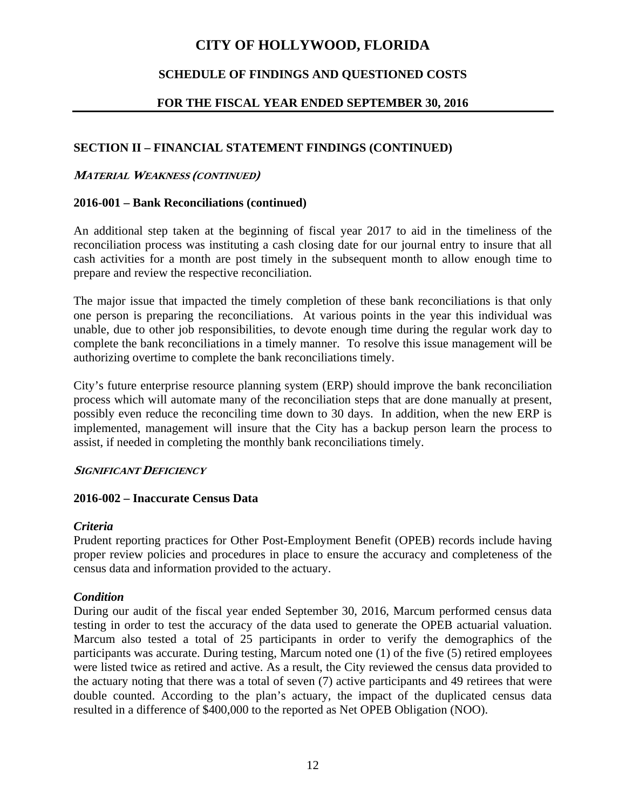### **SCHEDULE OF FINDINGS AND QUESTIONED COSTS**

### **FOR THE FISCAL YEAR ENDED SEPTEMBER 30, 2016**

### **SECTION II – FINANCIAL STATEMENT FINDINGS (CONTINUED)**

#### **MATERIAL WEAKNESS (CONTINUED)**

#### **2016-001 – Bank Reconciliations (continued)**

An additional step taken at the beginning of fiscal year 2017 to aid in the timeliness of the reconciliation process was instituting a cash closing date for our journal entry to insure that all cash activities for a month are post timely in the subsequent month to allow enough time to prepare and review the respective reconciliation.

The major issue that impacted the timely completion of these bank reconciliations is that only one person is preparing the reconciliations. At various points in the year this individual was unable, due to other job responsibilities, to devote enough time during the regular work day to complete the bank reconciliations in a timely manner. To resolve this issue management will be authorizing overtime to complete the bank reconciliations timely.

City's future enterprise resource planning system (ERP) should improve the bank reconciliation process which will automate many of the reconciliation steps that are done manually at present, possibly even reduce the reconciling time down to 30 days. In addition, when the new ERP is implemented, management will insure that the City has a backup person learn the process to assist, if needed in completing the monthly bank reconciliations timely.

#### **SIGNIFICANT DEFICIENCY**

#### **2016-002 – Inaccurate Census Data**

#### *Criteria*

Prudent reporting practices for Other Post-Employment Benefit (OPEB) records include having proper review policies and procedures in place to ensure the accuracy and completeness of the census data and information provided to the actuary.

### *Condition*

During our audit of the fiscal year ended September 30, 2016, Marcum performed census data testing in order to test the accuracy of the data used to generate the OPEB actuarial valuation. Marcum also tested a total of 25 participants in order to verify the demographics of the participants was accurate. During testing, Marcum noted one (1) of the five (5) retired employees were listed twice as retired and active. As a result, the City reviewed the census data provided to the actuary noting that there was a total of seven (7) active participants and 49 retirees that were double counted. According to the plan's actuary, the impact of the duplicated census data resulted in a difference of \$400,000 to the reported as Net OPEB Obligation (NOO).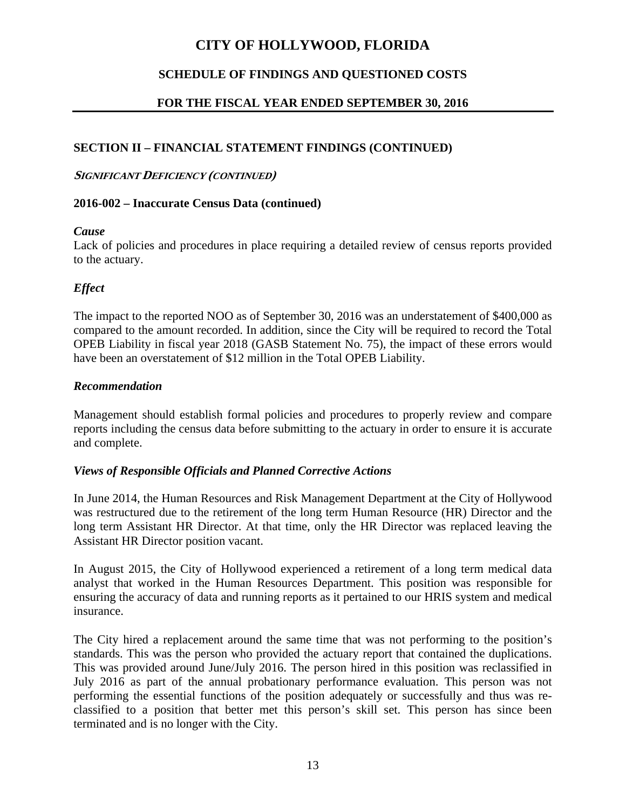### **SCHEDULE OF FINDINGS AND QUESTIONED COSTS**

### **FOR THE FISCAL YEAR ENDED SEPTEMBER 30, 2016**

### **SECTION II – FINANCIAL STATEMENT FINDINGS (CONTINUED)**

### **SIGNIFICANT DEFICIENCY (CONTINUED)**

### **2016-002 – Inaccurate Census Data (continued)**

#### *Cause*

Lack of policies and procedures in place requiring a detailed review of census reports provided to the actuary.

### *Effect*

The impact to the reported NOO as of September 30, 2016 was an understatement of \$400,000 as compared to the amount recorded. In addition, since the City will be required to record the Total OPEB Liability in fiscal year 2018 (GASB Statement No. 75), the impact of these errors would have been an overstatement of \$12 million in the Total OPEB Liability.

### *Recommendation*

Management should establish formal policies and procedures to properly review and compare reports including the census data before submitting to the actuary in order to ensure it is accurate and complete.

### *Views of Responsible Officials and Planned Corrective Actions*

In June 2014, the Human Resources and Risk Management Department at the City of Hollywood was restructured due to the retirement of the long term Human Resource (HR) Director and the long term Assistant HR Director. At that time, only the HR Director was replaced leaving the Assistant HR Director position vacant.

In August 2015, the City of Hollywood experienced a retirement of a long term medical data analyst that worked in the Human Resources Department. This position was responsible for ensuring the accuracy of data and running reports as it pertained to our HRIS system and medical insurance.

The City hired a replacement around the same time that was not performing to the position's standards. This was the person who provided the actuary report that contained the duplications. This was provided around June/July 2016. The person hired in this position was reclassified in July 2016 as part of the annual probationary performance evaluation. This person was not performing the essential functions of the position adequately or successfully and thus was reclassified to a position that better met this person's skill set. This person has since been terminated and is no longer with the City.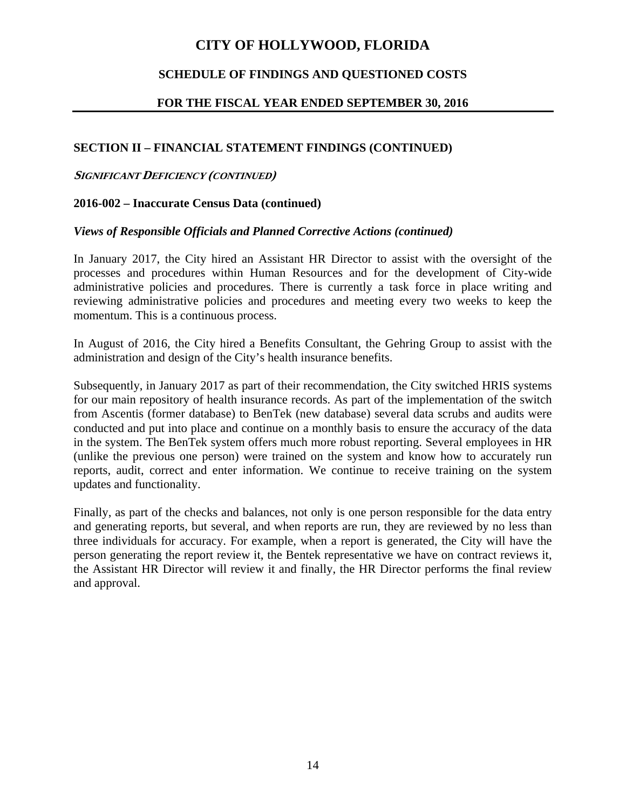### **SCHEDULE OF FINDINGS AND QUESTIONED COSTS**

### **FOR THE FISCAL YEAR ENDED SEPTEMBER 30, 2016**

#### **SECTION II – FINANCIAL STATEMENT FINDINGS (CONTINUED)**

### **SIGNIFICANT DEFICIENCY (CONTINUED)**

#### **2016-002 – Inaccurate Census Data (continued)**

#### *Views of Responsible Officials and Planned Corrective Actions (continued)*

In January 2017, the City hired an Assistant HR Director to assist with the oversight of the processes and procedures within Human Resources and for the development of City-wide administrative policies and procedures. There is currently a task force in place writing and reviewing administrative policies and procedures and meeting every two weeks to keep the momentum. This is a continuous process.

In August of 2016, the City hired a Benefits Consultant, the Gehring Group to assist with the administration and design of the City's health insurance benefits.

Subsequently, in January 2017 as part of their recommendation, the City switched HRIS systems for our main repository of health insurance records. As part of the implementation of the switch from Ascentis (former database) to BenTek (new database) several data scrubs and audits were conducted and put into place and continue on a monthly basis to ensure the accuracy of the data in the system. The BenTek system offers much more robust reporting. Several employees in HR (unlike the previous one person) were trained on the system and know how to accurately run reports, audit, correct and enter information. We continue to receive training on the system updates and functionality.

Finally, as part of the checks and balances, not only is one person responsible for the data entry and generating reports, but several, and when reports are run, they are reviewed by no less than three individuals for accuracy. For example, when a report is generated, the City will have the person generating the report review it, the Bentek representative we have on contract reviews it, the Assistant HR Director will review it and finally, the HR Director performs the final review and approval.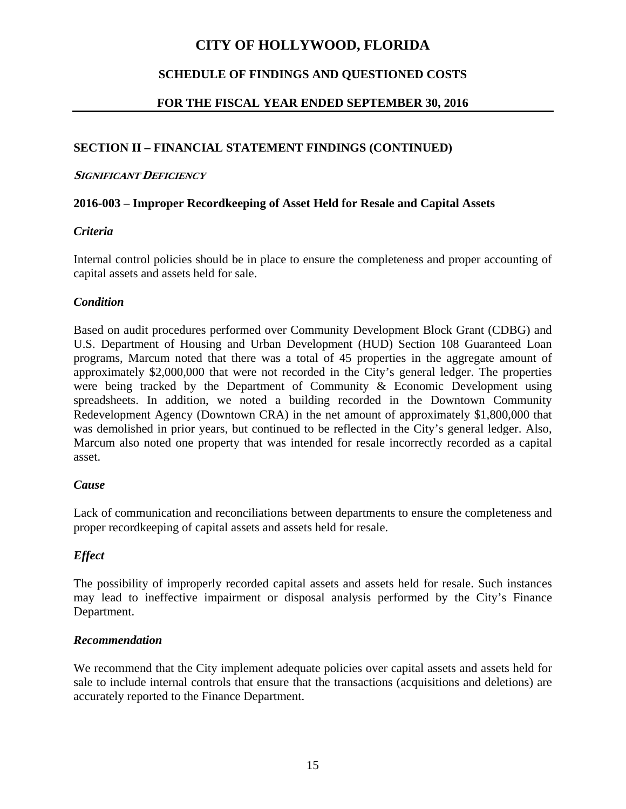## **SCHEDULE OF FINDINGS AND QUESTIONED COSTS**

### **FOR THE FISCAL YEAR ENDED SEPTEMBER 30, 2016**

### **SECTION II – FINANCIAL STATEMENT FINDINGS (CONTINUED)**

### **SIGNIFICANT DEFICIENCY**

### **2016-003 – Improper Recordkeeping of Asset Held for Resale and Capital Assets**

### *Criteria*

Internal control policies should be in place to ensure the completeness and proper accounting of capital assets and assets held for sale.

### *Condition*

Based on audit procedures performed over Community Development Block Grant (CDBG) and U.S. Department of Housing and Urban Development (HUD) Section 108 Guaranteed Loan programs, Marcum noted that there was a total of 45 properties in the aggregate amount of approximately \$2,000,000 that were not recorded in the City's general ledger. The properties were being tracked by the Department of Community & Economic Development using spreadsheets. In addition, we noted a building recorded in the Downtown Community Redevelopment Agency (Downtown CRA) in the net amount of approximately \$1,800,000 that was demolished in prior years, but continued to be reflected in the City's general ledger. Also, Marcum also noted one property that was intended for resale incorrectly recorded as a capital asset.

### *Cause*

Lack of communication and reconciliations between departments to ensure the completeness and proper recordkeeping of capital assets and assets held for resale.

### *Effect*

The possibility of improperly recorded capital assets and assets held for resale. Such instances may lead to ineffective impairment or disposal analysis performed by the City's Finance Department.

### *Recommendation*

We recommend that the City implement adequate policies over capital assets and assets held for sale to include internal controls that ensure that the transactions (acquisitions and deletions) are accurately reported to the Finance Department.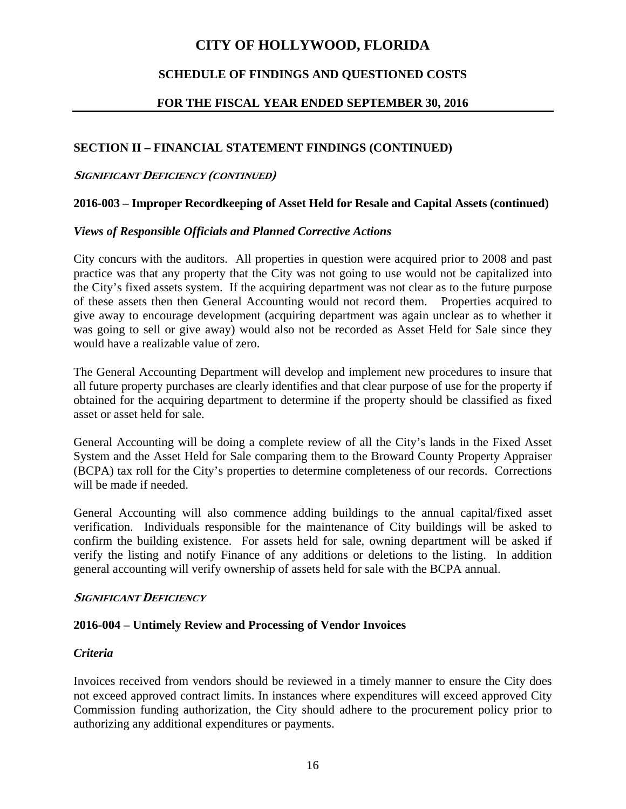### **SCHEDULE OF FINDINGS AND QUESTIONED COSTS**

### **FOR THE FISCAL YEAR ENDED SEPTEMBER 30, 2016**

### **SECTION II – FINANCIAL STATEMENT FINDINGS (CONTINUED)**

#### **SIGNIFICANT DEFICIENCY (CONTINUED)**

### **2016-003 – Improper Recordkeeping of Asset Held for Resale and Capital Assets (continued)**

#### *Views of Responsible Officials and Planned Corrective Actions*

City concurs with the auditors. All properties in question were acquired prior to 2008 and past practice was that any property that the City was not going to use would not be capitalized into the City's fixed assets system. If the acquiring department was not clear as to the future purpose of these assets then then General Accounting would not record them. Properties acquired to give away to encourage development (acquiring department was again unclear as to whether it was going to sell or give away) would also not be recorded as Asset Held for Sale since they would have a realizable value of zero.

The General Accounting Department will develop and implement new procedures to insure that all future property purchases are clearly identifies and that clear purpose of use for the property if obtained for the acquiring department to determine if the property should be classified as fixed asset or asset held for sale.

General Accounting will be doing a complete review of all the City's lands in the Fixed Asset System and the Asset Held for Sale comparing them to the Broward County Property Appraiser (BCPA) tax roll for the City's properties to determine completeness of our records. Corrections will be made if needed.

General Accounting will also commence adding buildings to the annual capital/fixed asset verification. Individuals responsible for the maintenance of City buildings will be asked to confirm the building existence. For assets held for sale, owning department will be asked if verify the listing and notify Finance of any additions or deletions to the listing. In addition general accounting will verify ownership of assets held for sale with the BCPA annual.

#### **SIGNIFICANT DEFICIENCY**

### **2016-004 – Untimely Review and Processing of Vendor Invoices**

#### *Criteria*

Invoices received from vendors should be reviewed in a timely manner to ensure the City does not exceed approved contract limits. In instances where expenditures will exceed approved City Commission funding authorization, the City should adhere to the procurement policy prior to authorizing any additional expenditures or payments.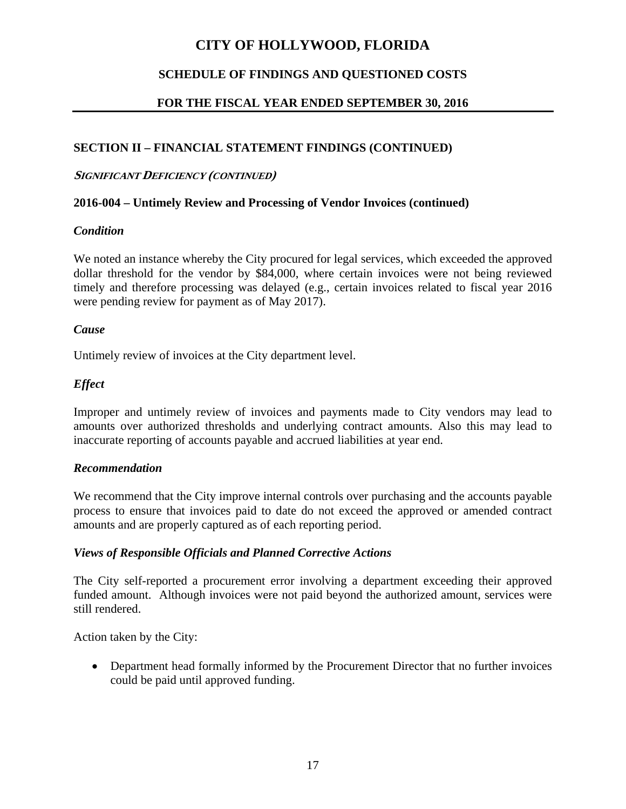## **SCHEDULE OF FINDINGS AND QUESTIONED COSTS**

### **FOR THE FISCAL YEAR ENDED SEPTEMBER 30, 2016**

### **SECTION II – FINANCIAL STATEMENT FINDINGS (CONTINUED)**

### **SIGNIFICANT DEFICIENCY (CONTINUED)**

### **2016-004 – Untimely Review and Processing of Vendor Invoices (continued)**

### *Condition*

We noted an instance whereby the City procured for legal services, which exceeded the approved dollar threshold for the vendor by \$84,000, where certain invoices were not being reviewed timely and therefore processing was delayed (e.g., certain invoices related to fiscal year 2016 were pending review for payment as of May 2017).

### *Cause*

Untimely review of invoices at the City department level.

### *Effect*

Improper and untimely review of invoices and payments made to City vendors may lead to amounts over authorized thresholds and underlying contract amounts. Also this may lead to inaccurate reporting of accounts payable and accrued liabilities at year end.

### *Recommendation*

We recommend that the City improve internal controls over purchasing and the accounts payable process to ensure that invoices paid to date do not exceed the approved or amended contract amounts and are properly captured as of each reporting period.

### *Views of Responsible Officials and Planned Corrective Actions*

The City self-reported a procurement error involving a department exceeding their approved funded amount. Although invoices were not paid beyond the authorized amount, services were still rendered.

Action taken by the City:

 Department head formally informed by the Procurement Director that no further invoices could be paid until approved funding.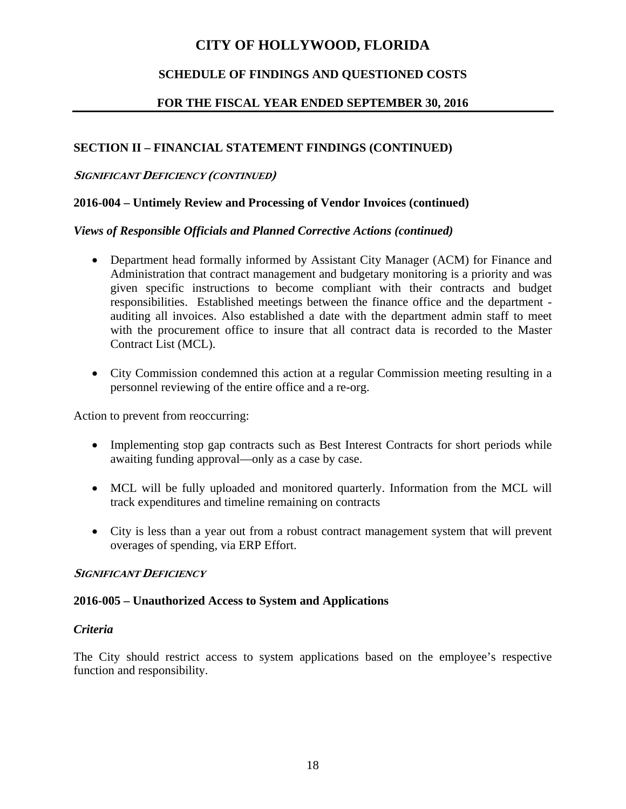### **SCHEDULE OF FINDINGS AND QUESTIONED COSTS**

### **FOR THE FISCAL YEAR ENDED SEPTEMBER 30, 2016**

### **SECTION II – FINANCIAL STATEMENT FINDINGS (CONTINUED)**

### **SIGNIFICANT DEFICIENCY (CONTINUED)**

### **2016-004 – Untimely Review and Processing of Vendor Invoices (continued)**

#### *Views of Responsible Officials and Planned Corrective Actions (continued)*

- Department head formally informed by Assistant City Manager (ACM) for Finance and Administration that contract management and budgetary monitoring is a priority and was given specific instructions to become compliant with their contracts and budget responsibilities. Established meetings between the finance office and the department auditing all invoices. Also established a date with the department admin staff to meet with the procurement office to insure that all contract data is recorded to the Master Contract List (MCL).
- City Commission condemned this action at a regular Commission meeting resulting in a personnel reviewing of the entire office and a re-org.

Action to prevent from reoccurring:

- Implementing stop gap contracts such as Best Interest Contracts for short periods while awaiting funding approval—only as a case by case.
- MCL will be fully uploaded and monitored quarterly. Information from the MCL will track expenditures and timeline remaining on contracts
- City is less than a year out from a robust contract management system that will prevent overages of spending, via ERP Effort.

#### **SIGNIFICANT DEFICIENCY**

#### **2016-005 – Unauthorized Access to System and Applications**

### *Criteria*

The City should restrict access to system applications based on the employee's respective function and responsibility.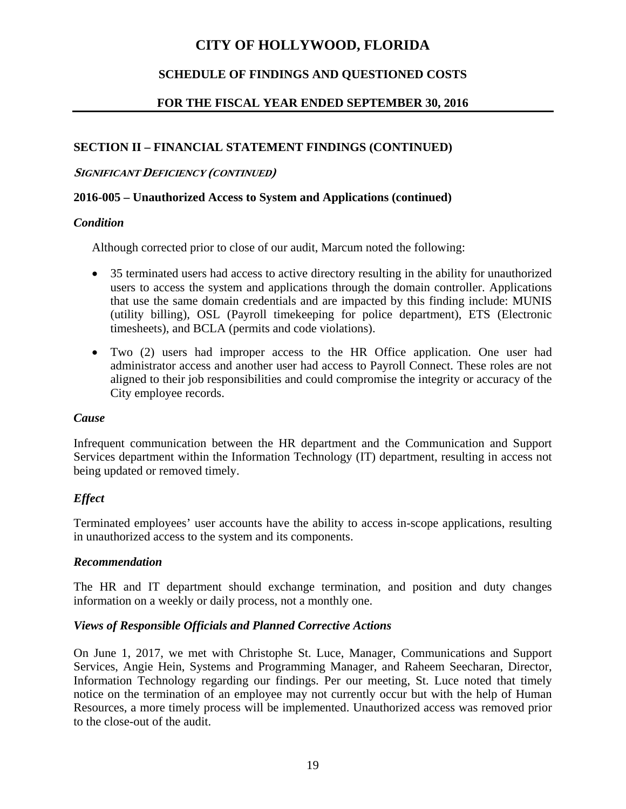### **SCHEDULE OF FINDINGS AND QUESTIONED COSTS**

### **FOR THE FISCAL YEAR ENDED SEPTEMBER 30, 2016**

### **SECTION II – FINANCIAL STATEMENT FINDINGS (CONTINUED)**

### **SIGNIFICANT DEFICIENCY (CONTINUED)**

### **2016-005 – Unauthorized Access to System and Applications (continued)**

#### *Condition*

Although corrected prior to close of our audit, Marcum noted the following:

- 35 terminated users had access to active directory resulting in the ability for unauthorized users to access the system and applications through the domain controller. Applications that use the same domain credentials and are impacted by this finding include: MUNIS (utility billing), OSL (Payroll timekeeping for police department), ETS (Electronic timesheets), and BCLA (permits and code violations).
- Two (2) users had improper access to the HR Office application. One user had administrator access and another user had access to Payroll Connect. These roles are not aligned to their job responsibilities and could compromise the integrity or accuracy of the City employee records.

### *Cause*

Infrequent communication between the HR department and the Communication and Support Services department within the Information Technology (IT) department, resulting in access not being updated or removed timely.

### *Effect*

Terminated employees' user accounts have the ability to access in-scope applications, resulting in unauthorized access to the system and its components.

### *Recommendation*

The HR and IT department should exchange termination, and position and duty changes information on a weekly or daily process, not a monthly one.

### *Views of Responsible Officials and Planned Corrective Actions*

On June 1, 2017, we met with Christophe St. Luce, Manager, Communications and Support Services, Angie Hein, Systems and Programming Manager, and Raheem Seecharan, Director, Information Technology regarding our findings. Per our meeting, St. Luce noted that timely notice on the termination of an employee may not currently occur but with the help of Human Resources, a more timely process will be implemented. Unauthorized access was removed prior to the close-out of the audit.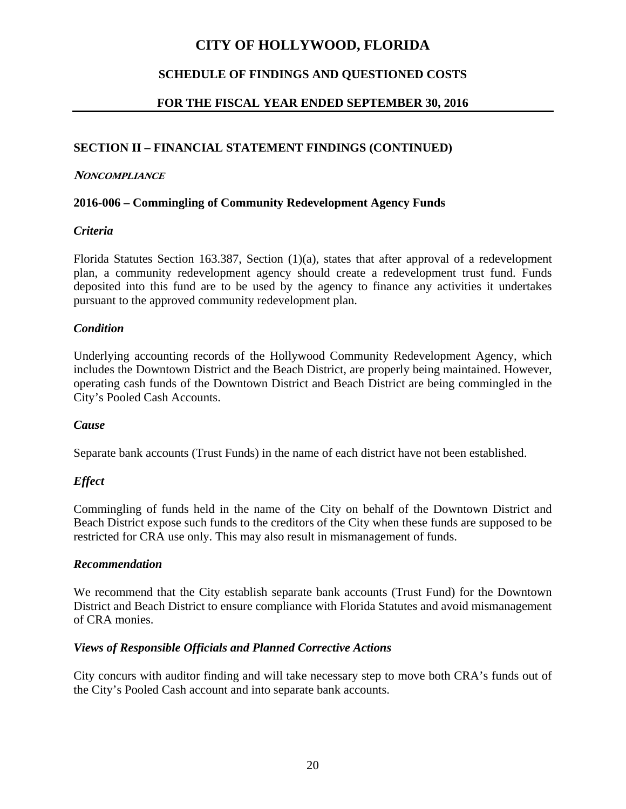### **SCHEDULE OF FINDINGS AND QUESTIONED COSTS**

### **FOR THE FISCAL YEAR ENDED SEPTEMBER 30, 2016**

### **SECTION II – FINANCIAL STATEMENT FINDINGS (CONTINUED)**

### **NONCOMPLIANCE**

### **2016-006 – Commingling of Community Redevelopment Agency Funds**

### *Criteria*

Florida Statutes Section 163.387, Section (1)(a), states that after approval of a redevelopment plan, a community redevelopment agency should create a redevelopment trust fund. Funds deposited into this fund are to be used by the agency to finance any activities it undertakes pursuant to the approved community redevelopment plan.

### *Condition*

Underlying accounting records of the Hollywood Community Redevelopment Agency, which includes the Downtown District and the Beach District, are properly being maintained. However, operating cash funds of the Downtown District and Beach District are being commingled in the City's Pooled Cash Accounts.

### *Cause*

Separate bank accounts (Trust Funds) in the name of each district have not been established.

### *Effect*

Commingling of funds held in the name of the City on behalf of the Downtown District and Beach District expose such funds to the creditors of the City when these funds are supposed to be restricted for CRA use only. This may also result in mismanagement of funds.

### *Recommendation*

We recommend that the City establish separate bank accounts (Trust Fund) for the Downtown District and Beach District to ensure compliance with Florida Statutes and avoid mismanagement of CRA monies.

### *Views of Responsible Officials and Planned Corrective Actions*

City concurs with auditor finding and will take necessary step to move both CRA's funds out of the City's Pooled Cash account and into separate bank accounts.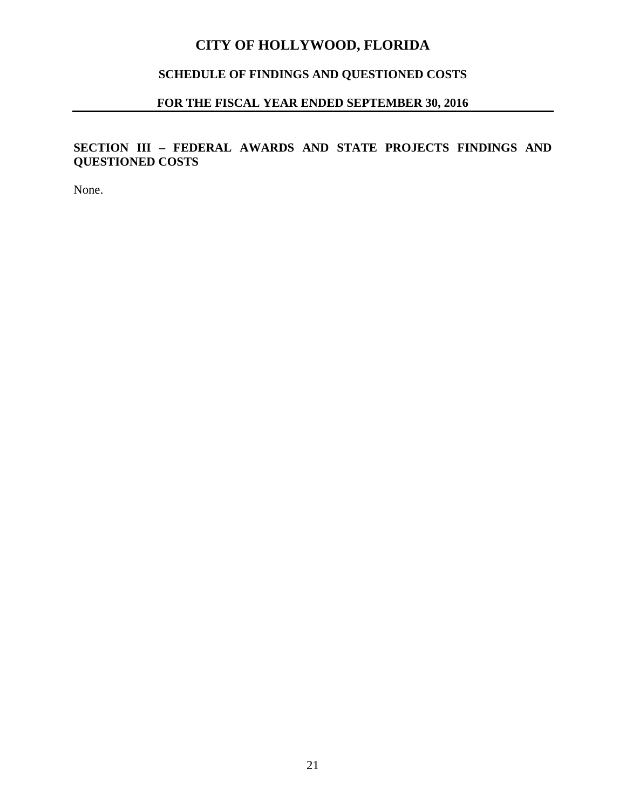### **SCHEDULE OF FINDINGS AND QUESTIONED COSTS**

### **FOR THE FISCAL YEAR ENDED SEPTEMBER 30, 2016**

### **SECTION III – FEDERAL AWARDS AND STATE PROJECTS FINDINGS AND QUESTIONED COSTS**

None.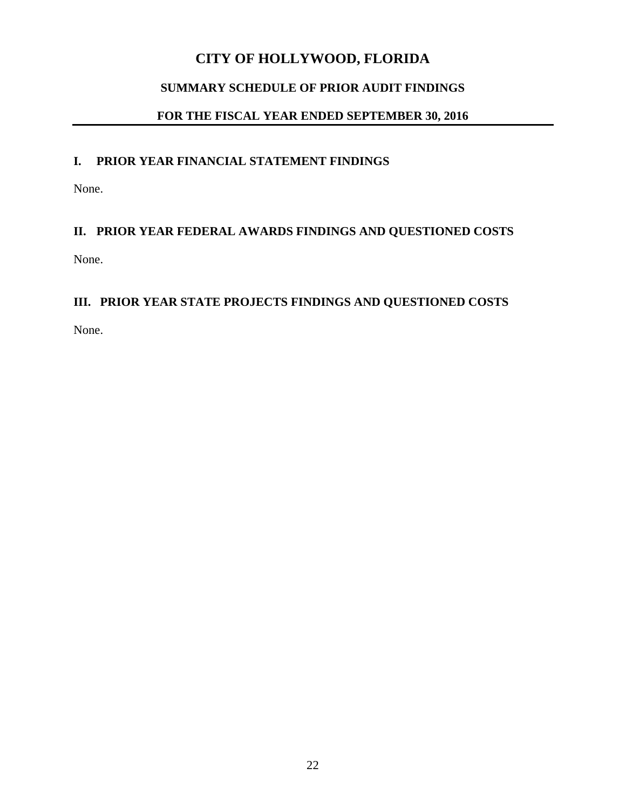## **SUMMARY SCHEDULE OF PRIOR AUDIT FINDINGS**

## **FOR THE FISCAL YEAR ENDED SEPTEMBER 30, 2016**

## **I. PRIOR YEAR FINANCIAL STATEMENT FINDINGS**

None.

## **II. PRIOR YEAR FEDERAL AWARDS FINDINGS AND QUESTIONED COSTS**

None.

## **III. PRIOR YEAR STATE PROJECTS FINDINGS AND QUESTIONED COSTS**

None.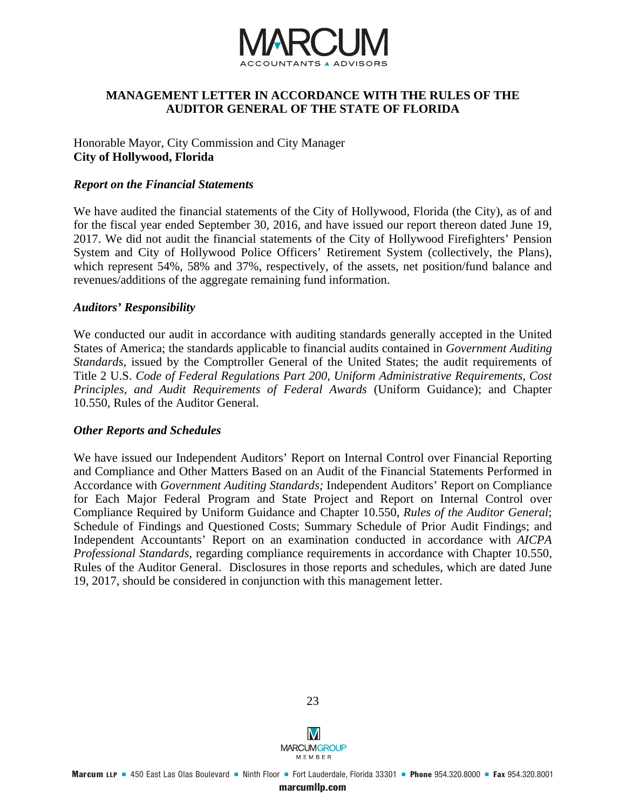

### **MANAGEMENT LETTER IN ACCORDANCE WITH THE RULES OF THE AUDITOR GENERAL OF THE STATE OF FLORIDA**

Honorable Mayor, City Commission and City Manager **City of Hollywood, Florida**

#### *Report on the Financial Statements*

We have audited the financial statements of the City of Hollywood, Florida (the City), as of and for the fiscal year ended September 30, 2016, and have issued our report thereon dated June 19, 2017. We did not audit the financial statements of the City of Hollywood Firefighters' Pension System and City of Hollywood Police Officers' Retirement System (collectively, the Plans), which represent 54%, 58% and 37%, respectively, of the assets, net position/fund balance and revenues/additions of the aggregate remaining fund information.

#### *Auditors' Responsibility*

We conducted our audit in accordance with auditing standards generally accepted in the United States of America; the standards applicable to financial audits contained in *Government Auditing Standards,* issued by the Comptroller General of the United States; the audit requirements of Title 2 U.S. *Code of Federal Regulations Part 200, Uniform Administrative Requirements, Cost Principles, and Audit Requirements of Federal Awards* (Uniform Guidance); and Chapter 10.550, Rules of the Auditor General.

#### *Other Reports and Schedules*

We have issued our Independent Auditors' Report on Internal Control over Financial Reporting and Compliance and Other Matters Based on an Audit of the Financial Statements Performed in Accordance with *Government Auditing Standards;* Independent Auditors' Report on Compliance for Each Major Federal Program and State Project and Report on Internal Control over Compliance Required by Uniform Guidance and Chapter 10.550, *Rules of the Auditor General*; Schedule of Findings and Questioned Costs; Summary Schedule of Prior Audit Findings; and Independent Accountants' Report on an examination conducted in accordance with *AICPA Professional Standards*, regarding compliance requirements in accordance with Chapter 10.550, Rules of the Auditor General. Disclosures in those reports and schedules, which are dated June 19, 2017, should be considered in conjunction with this management letter.



23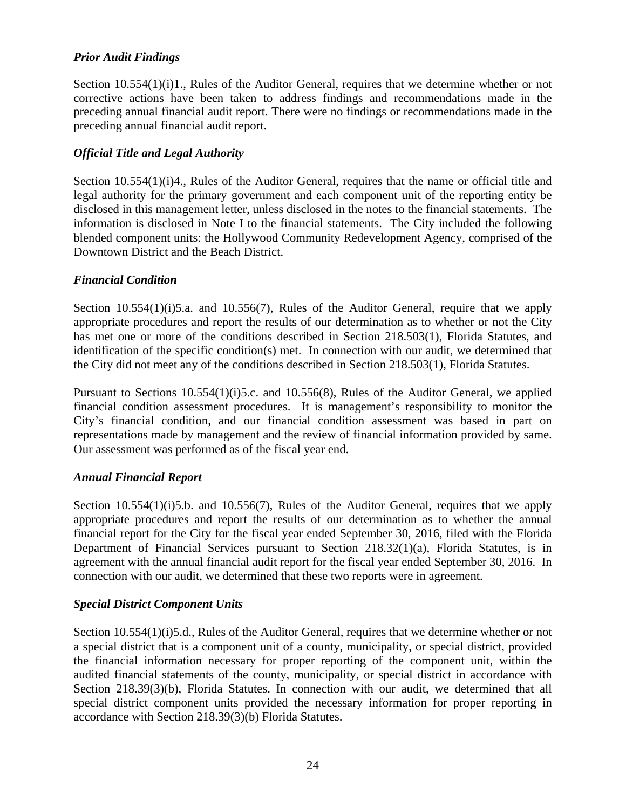### *Prior Audit Findings*

Section 10.554(1)(i)1., Rules of the Auditor General, requires that we determine whether or not corrective actions have been taken to address findings and recommendations made in the preceding annual financial audit report. There were no findings or recommendations made in the preceding annual financial audit report.

### *Official Title and Legal Authority*

Section 10.554(1)(i)4., Rules of the Auditor General, requires that the name or official title and legal authority for the primary government and each component unit of the reporting entity be disclosed in this management letter, unless disclosed in the notes to the financial statements. The information is disclosed in Note I to the financial statements. The City included the following blended component units: the Hollywood Community Redevelopment Agency, comprised of the Downtown District and the Beach District.

### *Financial Condition*

Section 10.554(1)(i)5.a. and 10.556(7), Rules of the Auditor General, require that we apply appropriate procedures and report the results of our determination as to whether or not the City has met one or more of the conditions described in Section 218.503(1), Florida Statutes, and identification of the specific condition(s) met. In connection with our audit, we determined that the City did not meet any of the conditions described in Section 218.503(1), Florida Statutes.

Pursuant to Sections 10.554(1)(i)5.c. and 10.556(8), Rules of the Auditor General, we applied financial condition assessment procedures. It is management's responsibility to monitor the City's financial condition, and our financial condition assessment was based in part on representations made by management and the review of financial information provided by same. Our assessment was performed as of the fiscal year end.

### *Annual Financial Report*

Section 10.554(1)(i)5.b. and 10.556(7), Rules of the Auditor General, requires that we apply appropriate procedures and report the results of our determination as to whether the annual financial report for the City for the fiscal year ended September 30, 2016, filed with the Florida Department of Financial Services pursuant to Section 218.32(1)(a), Florida Statutes, is in agreement with the annual financial audit report for the fiscal year ended September 30, 2016. In connection with our audit, we determined that these two reports were in agreement.

### *Special District Component Units*

Section 10.554(1)(i)5.d., Rules of the Auditor General, requires that we determine whether or not a special district that is a component unit of a county, municipality, or special district, provided the financial information necessary for proper reporting of the component unit, within the audited financial statements of the county, municipality, or special district in accordance with Section 218.39(3)(b), Florida Statutes. In connection with our audit, we determined that all special district component units provided the necessary information for proper reporting in accordance with Section 218.39(3)(b) Florida Statutes.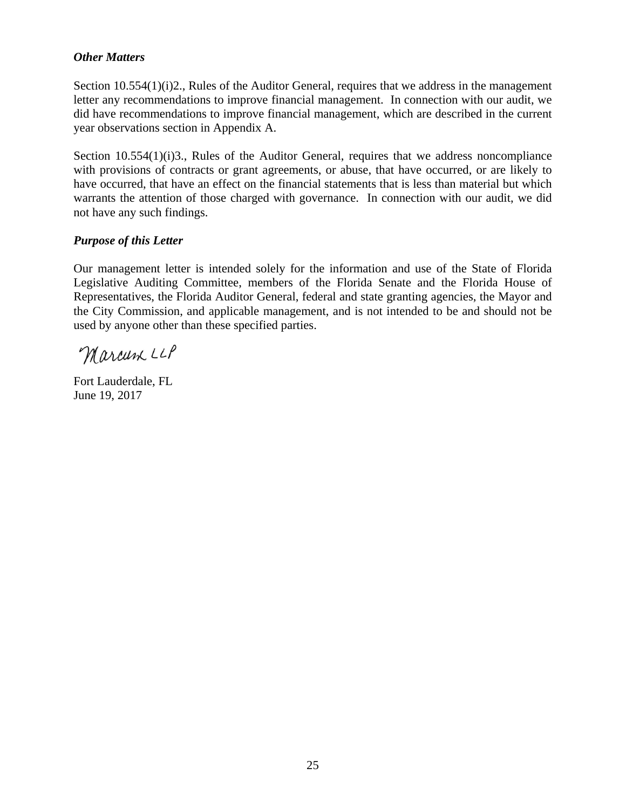### *Other Matters*

Section 10.554(1)(i)2., Rules of the Auditor General, requires that we address in the management letter any recommendations to improve financial management. In connection with our audit, we did have recommendations to improve financial management, which are described in the current year observations section in Appendix A.

Section 10.554(1)(i)3., Rules of the Auditor General, requires that we address noncompliance with provisions of contracts or grant agreements, or abuse, that have occurred, or are likely to have occurred, that have an effect on the financial statements that is less than material but which warrants the attention of those charged with governance. In connection with our audit, we did not have any such findings.

#### *Purpose of this Letter*

Our management letter is intended solely for the information and use of the State of Florida Legislative Auditing Committee, members of the Florida Senate and the Florida House of Representatives, the Florida Auditor General, federal and state granting agencies, the Mayor and the City Commission, and applicable management, and is not intended to be and should not be used by anyone other than these specified parties.

Marcum LLP

Fort Lauderdale, FL June 19, 2017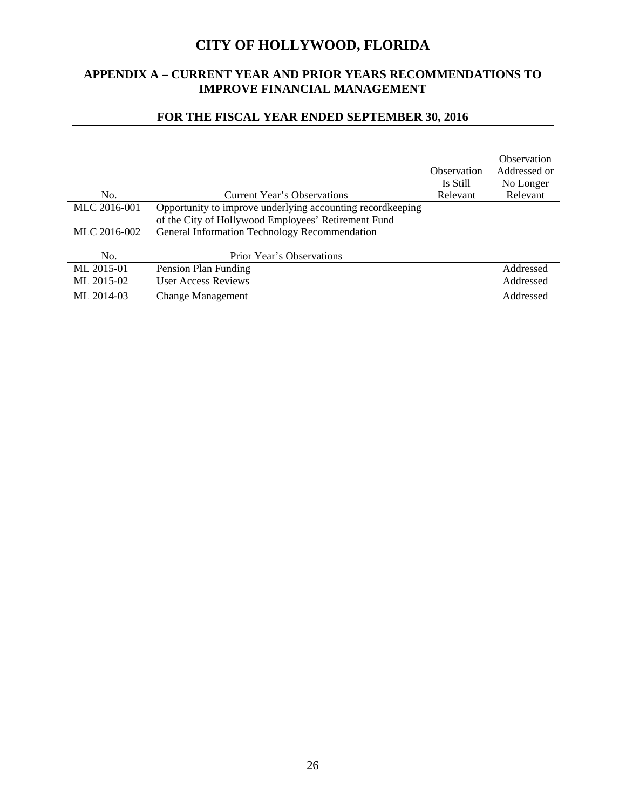### **APPENDIX A – CURRENT YEAR AND PRIOR YEARS RECOMMENDATIONS TO IMPROVE FINANCIAL MANAGEMENT**

### **FOR THE FISCAL YEAR ENDED SEPTEMBER 30, 2016**

|              |                                                                                                                    | Observation<br>Is Still | <b>Observation</b><br>Addressed or<br>No Longer |
|--------------|--------------------------------------------------------------------------------------------------------------------|-------------------------|-------------------------------------------------|
| No.          | Current Year's Observations                                                                                        | Relevant                | Relevant                                        |
| MLC 2016-001 | Opportunity to improve underlying accounting record keeping<br>of the City of Hollywood Employees' Retirement Fund |                         |                                                 |
| MLC 2016-002 | General Information Technology Recommendation                                                                      |                         |                                                 |
| No.          | Prior Year's Observations                                                                                          |                         |                                                 |
| ML 2015-01   | Pension Plan Funding                                                                                               |                         | Addressed                                       |
| ML 2015-02   | <b>User Access Reviews</b>                                                                                         |                         | Addressed                                       |
| ML 2014-03   | <b>Change Management</b>                                                                                           |                         | Addressed                                       |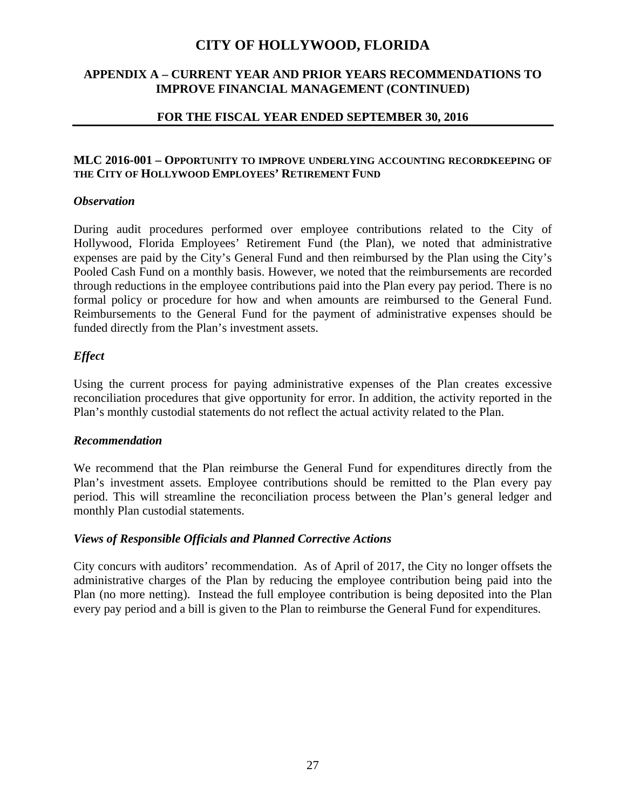### **APPENDIX A – CURRENT YEAR AND PRIOR YEARS RECOMMENDATIONS TO IMPROVE FINANCIAL MANAGEMENT (CONTINUED)**

### **FOR THE FISCAL YEAR ENDED SEPTEMBER 30, 2016**

### **MLC 2016-001 – OPPORTUNITY TO IMPROVE UNDERLYING ACCOUNTING RECORDKEEPING OF THE CITY OF HOLLYWOOD EMPLOYEES' RETIREMENT FUND**

#### *Observation*

During audit procedures performed over employee contributions related to the City of Hollywood, Florida Employees' Retirement Fund (the Plan), we noted that administrative expenses are paid by the City's General Fund and then reimbursed by the Plan using the City's Pooled Cash Fund on a monthly basis. However, we noted that the reimbursements are recorded through reductions in the employee contributions paid into the Plan every pay period. There is no formal policy or procedure for how and when amounts are reimbursed to the General Fund. Reimbursements to the General Fund for the payment of administrative expenses should be funded directly from the Plan's investment assets.

#### *Effect*

Using the current process for paying administrative expenses of the Plan creates excessive reconciliation procedures that give opportunity for error. In addition, the activity reported in the Plan's monthly custodial statements do not reflect the actual activity related to the Plan.

#### *Recommendation*

We recommend that the Plan reimburse the General Fund for expenditures directly from the Plan's investment assets. Employee contributions should be remitted to the Plan every pay period. This will streamline the reconciliation process between the Plan's general ledger and monthly Plan custodial statements.

### *Views of Responsible Officials and Planned Corrective Actions*

City concurs with auditors' recommendation. As of April of 2017, the City no longer offsets the administrative charges of the Plan by reducing the employee contribution being paid into the Plan (no more netting). Instead the full employee contribution is being deposited into the Plan every pay period and a bill is given to the Plan to reimburse the General Fund for expenditures.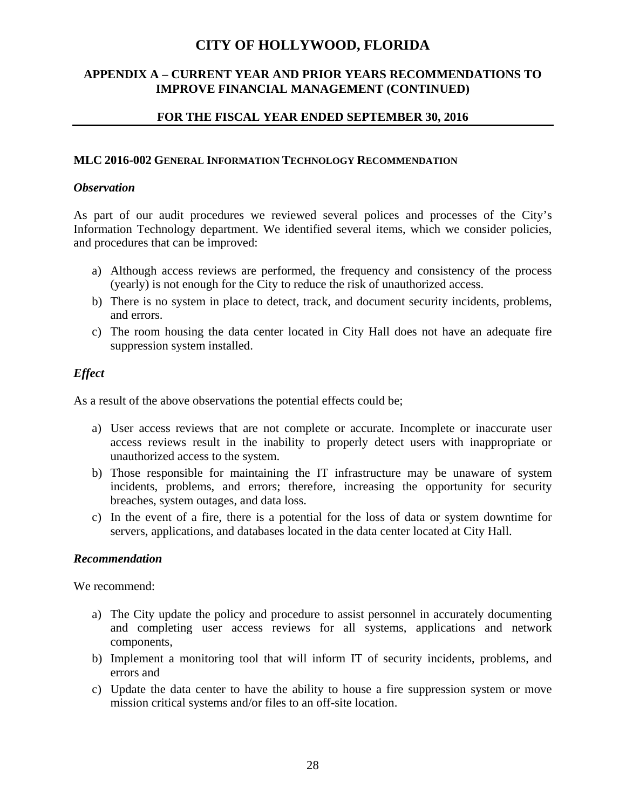### **APPENDIX A – CURRENT YEAR AND PRIOR YEARS RECOMMENDATIONS TO IMPROVE FINANCIAL MANAGEMENT (CONTINUED)**

### **FOR THE FISCAL YEAR ENDED SEPTEMBER 30, 2016**

#### **MLC 2016-002 GENERAL INFORMATION TECHNOLOGY RECOMMENDATION**

#### *Observation*

As part of our audit procedures we reviewed several polices and processes of the City's Information Technology department. We identified several items, which we consider policies, and procedures that can be improved:

- a) Although access reviews are performed, the frequency and consistency of the process (yearly) is not enough for the City to reduce the risk of unauthorized access.
- b) There is no system in place to detect, track, and document security incidents, problems, and errors.
- c) The room housing the data center located in City Hall does not have an adequate fire suppression system installed.

### *Effect*

As a result of the above observations the potential effects could be;

- a) User access reviews that are not complete or accurate. Incomplete or inaccurate user access reviews result in the inability to properly detect users with inappropriate or unauthorized access to the system.
- b) Those responsible for maintaining the IT infrastructure may be unaware of system incidents, problems, and errors; therefore, increasing the opportunity for security breaches, system outages, and data loss.
- c) In the event of a fire, there is a potential for the loss of data or system downtime for servers, applications, and databases located in the data center located at City Hall.

#### *Recommendation*

We recommend:

- a) The City update the policy and procedure to assist personnel in accurately documenting and completing user access reviews for all systems, applications and network components,
- b) Implement a monitoring tool that will inform IT of security incidents, problems, and errors and
- c) Update the data center to have the ability to house a fire suppression system or move mission critical systems and/or files to an off-site location.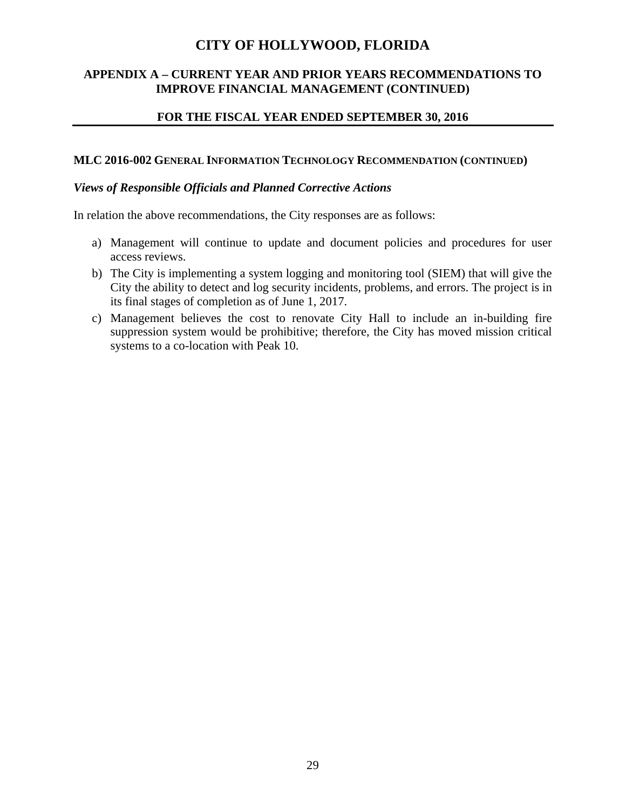### **APPENDIX A – CURRENT YEAR AND PRIOR YEARS RECOMMENDATIONS TO IMPROVE FINANCIAL MANAGEMENT (CONTINUED)**

### **FOR THE FISCAL YEAR ENDED SEPTEMBER 30, 2016**

#### **MLC 2016-002 GENERAL INFORMATION TECHNOLOGY RECOMMENDATION (CONTINUED)**

### *Views of Responsible Officials and Planned Corrective Actions*

In relation the above recommendations, the City responses are as follows:

- a) Management will continue to update and document policies and procedures for user access reviews.
- b) The City is implementing a system logging and monitoring tool (SIEM) that will give the City the ability to detect and log security incidents, problems, and errors. The project is in its final stages of completion as of June 1, 2017.
- c) Management believes the cost to renovate City Hall to include an in-building fire suppression system would be prohibitive; therefore, the City has moved mission critical systems to a co-location with Peak 10.